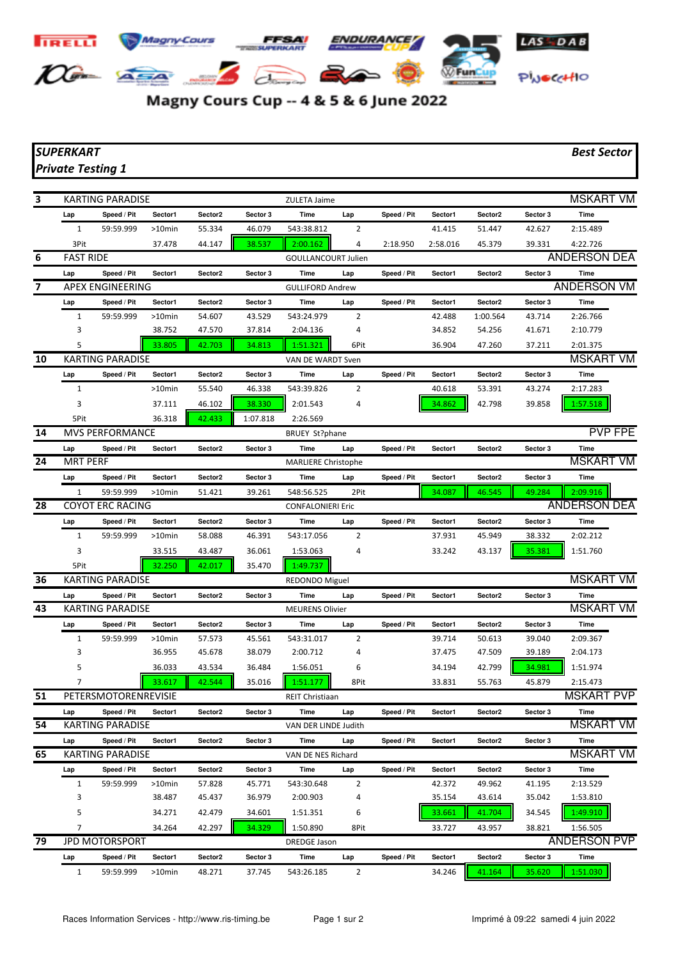## ENDURANCE **Magny Cours TRELL**  $10 - 40$ **WFunCup**  $\overline{\phantom{0}}$ PWOCCHIO

## Magny Cours Cup -- 4 & 5 & 6 June 2022

## *SUPERKART Best Sector Private Testing 1*

| 3                                                         |                         | <b>KARTING PARADISE</b>         |           |                     |                         | <b>ZULETA Jaime</b>          |                |             |                     |                     |          | <b>MSKART VM</b>              |
|-----------------------------------------------------------|-------------------------|---------------------------------|-----------|---------------------|-------------------------|------------------------------|----------------|-------------|---------------------|---------------------|----------|-------------------------------|
|                                                           | Lap                     | Speed / Pit                     | Sector1   | Sector2             | Sector 3                | Time                         | Lap            | Speed / Pit | Sector1             | Sector2             | Sector 3 | Time                          |
|                                                           | 1                       | 59:59.999                       | >10min    | 55.334              | 46.079                  | 543:38.812                   | 2              |             | 41.415              | 51.447              | 42.627   | 2:15.489                      |
|                                                           | 3Pit                    |                                 | 37.478    | 44.147              | 38.537                  | 2:00.162                     | 4              | 2:18.950    | 2:58.016            | 45.379              | 39.331   | 4:22.726                      |
| 6                                                         | <b>FAST RIDE</b>        |                                 |           |                     |                         | <b>GOULLANCOURT Julien</b>   |                |             |                     |                     |          | ANDERSON DEA                  |
|                                                           | Lap                     | Speed / Pit                     | Sector1   | Sector2             | Sector 3                | Time                         | Lap            | Speed / Pit | Sector1             | Sector2             | Sector 3 | Time                          |
| 7                                                         | <b>APEX ENGINEERING</b> |                                 |           |                     | <b>GULLIFORD Andrew</b> |                              |                |             | <b>ANDERSON VM</b>  |                     |          |                               |
|                                                           | Lap                     | Speed / Pit                     | Sector1   | Sector2             | Sector 3                | Time                         | Lap            | Speed / Pit | Sector1             | Sector2             | Sector 3 | Time                          |
|                                                           | $\mathbf{1}$            | 59:59.999                       | $>10$ min | 54.607              | 43.529                  | 543:24.979                   | $\overline{2}$ |             | 42.488              | 1:00.564            | 43.714   | 2:26.766                      |
|                                                           | 3                       |                                 | 38.752    | 47.570              | 37.814                  | 2:04.136                     | 4              |             | 34.852              | 54.256              | 41.671   | 2:10.779                      |
|                                                           | 5                       |                                 | 33.805    | 42.703              | 34.813                  | 1:51.321                     | 6Pit           |             | 36.904              | 47.260              | 37.211   | 2:01.375                      |
| 10                                                        |                         | <b>KARTING PARADISE</b>         |           |                     |                         | VAN DE WARDT Sven            |                |             |                     |                     |          | <b>MSKART VM</b>              |
|                                                           | Lap                     | Speed / Pit                     | Sector1   | Sector2             | Sector 3                | Time                         | Lap            | Speed / Pit | Sector1             | Sector2             | Sector 3 | Time                          |
|                                                           | 1                       |                                 | >10min    | 55.540              | 46.338                  | 543:39.826                   | 2              |             | 40.618              | 53.391              | 43.274   | 2:17.283                      |
|                                                           | 3                       |                                 | 37.111    | 46.102              | 38.330                  | 2:01.543                     | 4              |             | 34.862              | 42.798              | 39.858   | 1:57.518                      |
|                                                           | 5Pit                    |                                 | 36.318    | 42.433              | 1:07.818                | 2:26.569                     |                |             |                     |                     |          |                               |
| 14                                                        |                         | <b>MVS PERFORMANCE</b>          |           |                     |                         | BRUEY St?phane               |                |             |                     |                     |          | <b>PVP FPE</b>                |
|                                                           | Lap                     | Speed / Pit                     | Sector1   | Sector <sub>2</sub> | Sector 3                | Time                         | Lap            | Speed / Pit | Sector1             | Sector <sub>2</sub> | Sector 3 | Time                          |
| 24                                                        | <b>MRT PERF</b>         |                                 |           |                     |                         | <b>MARLIERE Christophe</b>   |                |             |                     |                     |          | <b>MSKART VM</b>              |
|                                                           | Lap                     | Speed / Pit                     | Sector1   | Sector2             | Sector 3                | Time                         | Lap            | Speed / Pit | Sector1             | Sector <sub>2</sub> | Sector 3 | Time                          |
|                                                           | 1                       | 59:59.999                       | >10min    | 51.421              | 39.261                  | 548:56.525                   | 2Pit           |             | 34.087              | 46.545              | 49.284   | 2:09.916                      |
| 28<br><b>COYOT ERC RACING</b><br><b>CONFALONIERI Eric</b> |                         |                                 |           |                     |                         |                              |                |             | <b>ANDERSON DEA</b> |                     |          |                               |
|                                                           | Lap                     | Speed / Pit                     | Sector1   | Sector2             | Sector 3                | Time                         | Lap            | Speed / Pit | Sector1             | Sector2             | Sector 3 | Time                          |
|                                                           | $\mathbf{1}$            | 59:59.999                       | >10min    | 58.088              | 46.391                  | 543:17.056                   | 2              |             | 37.931              | 45.949              | 38.332   | 2:02.212                      |
|                                                           | 3                       |                                 | 33.515    | 43.487              | 36.061                  | 1:53.063                     | 4              |             | 33.242              | 43.137              | 35.381   | 1:51.760                      |
|                                                           | 5Pit                    |                                 | 32.250    | 42.017              | 35.470                  | 1:49.737                     |                |             |                     |                     |          |                               |
| 36                                                        |                         | <b>KARTING PARADISE</b>         |           |                     |                         | <b>REDONDO Miguel</b>        |                |             |                     |                     |          | <b>MSKART VM</b>              |
|                                                           | Lap                     | Speed / Pit                     | Sector1   | Sector2             | Sector 3                | Time                         | Lap            | Speed / Pit | Sector1             | Sector <sub>2</sub> | Sector 3 | Time                          |
| 43                                                        |                         | <b>KARTING PARADISE</b>         |           |                     |                         | <b>MEURENS Olivier</b>       |                |             |                     |                     |          | <b>MSKART VM</b>              |
|                                                           | Lap                     | Speed / Pit                     | Sector1   | Sector2             | Sector 3                | Time                         | Lap            | Speed / Pit | Sector1             | Sector2             | Sector 3 | Time                          |
|                                                           | 1                       | 59:59.999                       | >10min    | 57.573              | 45.561                  | 543:31.017                   | 2              |             | 39.714              | 50.613              | 39.040   | 2:09.367                      |
|                                                           | 3                       |                                 | 36.955    | 45.678              | 38.079                  | 2:00.712<br>1:56.051         | 4              |             | 37.475              | 47.509              | 39.189   | 2:04.173                      |
|                                                           | 5                       |                                 | 36.033    | 43.534              | 36.484                  |                              | 6              |             | 34.194              | 42.799              | 34.981   | 1:51.974                      |
| 51                                                        |                         | PETERSMOTORENREVISIE            | 33.617    | 42.544              | 35.016                  | 1:51.177                     | 8Pit           |             | 33.831              | 55.763              | 45.879   | 2:15.473<br><b>MSKART PVP</b> |
|                                                           |                         |                                 |           |                     |                         | REIT Christiaan              |                |             |                     |                     |          | Time                          |
| 54                                                        | Lap                     | Speed / Pit<br>KARTING PARADISE | Sector1   | Sector2             | Sector 3                | Time<br>VAN DER LINDE Judith | Lap            | Speed / Pit | Sector1             | Sector <sub>2</sub> | Sector 3 | <b>MSKART VM</b>              |
|                                                           | Lap                     | Speed / Pit                     | Sector1   | Sector2             | Sector 3                | Time                         | Lap            | Speed / Pit | Sector1             | Sector <sub>2</sub> | Sector 3 | Time                          |
| 65                                                        |                         | <b>KARTING PARADISE</b>         |           |                     |                         | VAN DE NES Richard           |                |             |                     |                     |          | <b>MSKART VM</b>              |
|                                                           | Lap                     | Speed / Pit                     | Sector1   | Sector2             | Sector 3                | Time                         | Lap            | Speed / Pit | Sector1             | Sector <sub>2</sub> | Sector 3 | Time                          |
|                                                           | 1                       | 59:59.999                       | $>10$ min | 57.828              | 45.771                  | 543:30.648                   | 2              |             | 42.372              | 49.962              | 41.195   | 2:13.529                      |
|                                                           | 3                       |                                 | 38.487    | 45.437              | 36.979                  | 2:00.903                     | 4              |             | 35.154              | 43.614              | 35.042   | 1:53.810                      |
|                                                           | 5                       |                                 | 34.271    | 42.479              | 34.601                  | 1:51.351                     | 6              |             | 33.661              | 41.704              | 34.545   | 1:49.910                      |
|                                                           | 7                       |                                 | 34.264    | 42.297              | 34.329                  | 1:50.890                     | 8Pit           |             | 33.727              | 43.957              | 38.821   | 1:56.505                      |
| 79                                                        |                         | JPD MOTORSPORT                  |           |                     |                         | <b>DREDGE Jason</b>          |                |             |                     |                     |          | <b>ANDERSON PVP</b>           |
|                                                           | Lap                     | Speed / Pit                     | Sector1   | Sector2             | Sector 3                | Time                         | Lap            | Speed / Pit | Sector1             | Sector2             | Sector 3 | Time                          |
|                                                           | 1                       | 59:59.999                       | >10min    | 48.271              | 37.745                  | 543:26.185                   | 2              |             | 34.246              | 41.164              | 35.620   | 1:51.030                      |
|                                                           |                         |                                 |           |                     |                         |                              |                |             |                     |                     |          |                               |